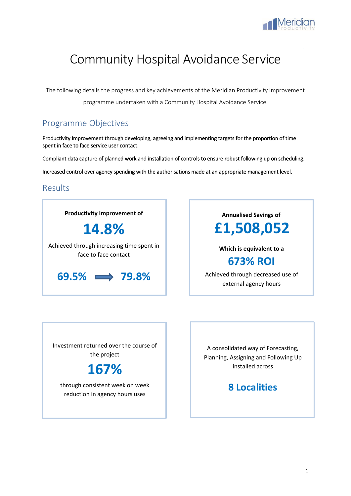

# Community Hospital Avoidance Service

The following details the progress and key achievements of the Meridian Productivity improvement programme undertaken with a Community Hospital Avoidance Service.

## Programme Objectives

Productivity Improvement through developing, agreeing and implementing targets for the proportion of time spent in face to face service user contact.

Compliant data capture of planned work and installation of controls to ensure robust following up on scheduling. Increased control over agency spending with the authorisations made at an appropriate management level.

## Results

**Productivity Improvement of 14.8%** Achieved through increasing time spent in face to face contact **69.5% 79.8%**

**Annualised Savings of £1,508,052**

**Which is equivalent to a**

## **673% ROI**

Achieved through decreased use of external agency hours

Investment returned over the course of the project



through consistent week on week reduction in agency hours uses

A consolidated way of Forecasting, Planning, Assigning and Following Up installed across

## **8 Localities**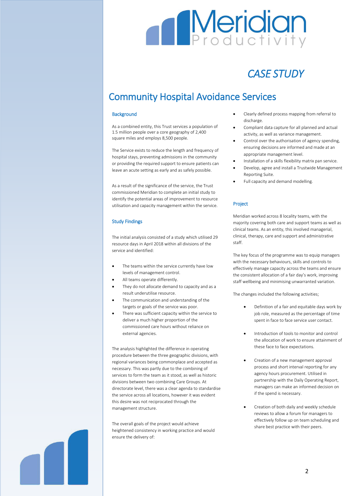# **Meridian**

# *CASE STUDY*

# Community Hospital Avoidance Services

### **Background**

As a combined entity, this Trust services a population of 1.5 million people over a core geography of 2,400 square miles and employs 8,500 people.

The Service exists to reduce the length and frequency of hospital stays, preventing admissions in the community or providing the required support to ensure patients can leave an acute setting as early and as safely possible.

As a result of the significance of the service, the Trust commissioned Meridian to complete an initial study to identify the potential areas of improvement to resource utilisation and capacity management within the service.

## Study Findings

The initial analysis consisted of a study which utilised 29 resource days in April 2018 within all divisions of the service and identified:

- The teams within the service currently have low levels of management control.
- All teams operate differently.
- They do not allocate demand to capacity and as a result underutilise resource.
- The communication and understanding of the targets or goals of the service was poor.
- There was sufficient capacity within the service to deliver a much higher proportion of the commissioned care hours without reliance on external agencies.

The analysis highlighted the difference in operating procedure between the three geographic divisions, with regional variances being commonplace and accepted as necessary. This was partly due to the combining of services to form the team as it stood, as well as historic divisions between two combining Care Groups. At directorate level, there was a clear agenda to standardise the service across all locations, however it was evident this desire was not reciprocated through the management structure.

The overall goals of the project would achieve heightened consistency in working practice and would ensure the delivery of:

- Clearly defined process mapping from referral to discharge.
- Compliant data capture for all planned and actual activity, as well as variance management.
- Control over the authorisation of agency spending, ensuring decisions are informed and made at an appropriate management level.
- Installation of a skills flexibility matrix pan service.
- Develop, agree and install a Trustwide Management Reporting Suite.
- Full capacity and demand modelling.

## Project

Meridian worked across 8 locality teams, with the majority covering both care and support teams as well as clinical teams. As an entity, this involved managerial, clinical, therapy, care and support and administrative staff.

The key focus of the programme was to equip managers with the necessary behaviours, skills and controls to effectively manage capacity across the teams and ensure the consistent allocation of a fair day's work, improving staff wellbeing and minimising unwarranted variation.

The changes included the following activities;

- Definition of a fair and equitable days work by job role, measured as the percentage of time spent in face to face service user contact.
- Introduction of tools to monitor and control the allocation of work to ensure attainment of these face to face expectations.
- Creation of a new management approval process and short interval reporting for any agency hours procurement. Utilised in partnership with the Daily Operating Report, managers can make an informed decision on if the spend is necessary.
- Creation of both daily and weekly schedule reviews to allow a forum for managers to effectively follow up on team scheduling and share best practice with their peers.